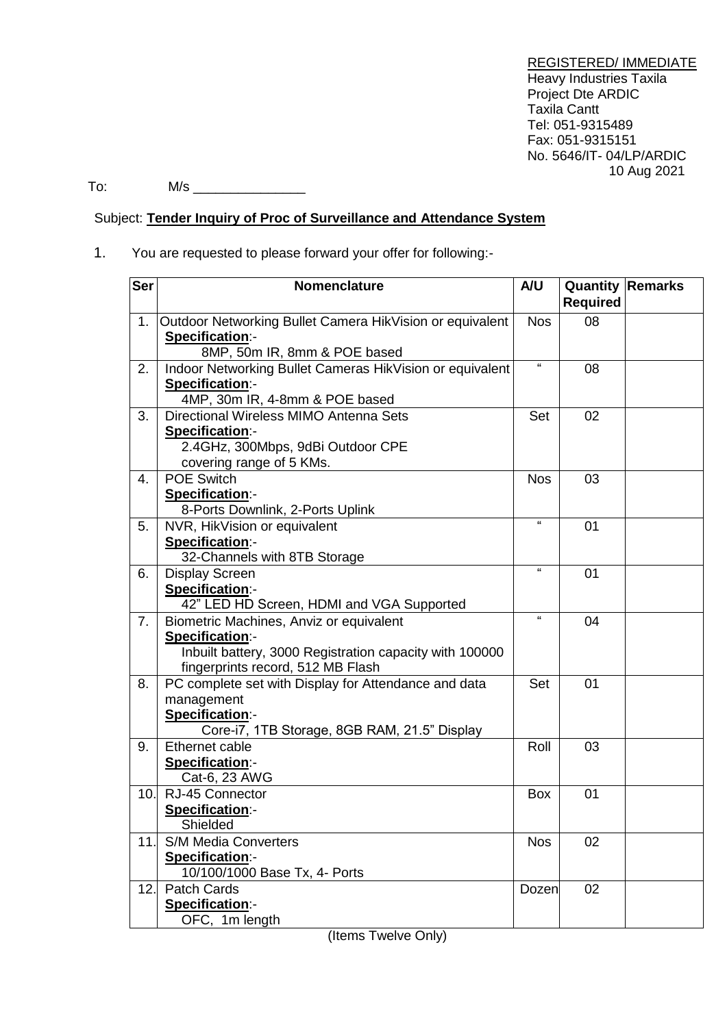REGISTERED/ IMMEDIATE Heavy Industries Taxila Project Dte ARDIC Taxila Cantt Tel: 051-9315489 Fax: 051-9315151 No. 5646/IT- 04/LP/ARDIC 10 Aug 2021

 $\text{To:} \qquad \qquad \mathsf{M/s}$ 

# Subject: **Tender Inquiry of Proc of Surveillance and Attendance System**

# 1. You are requested to please forward your offer for following:-

| <b>Ser</b> | <b>Nomenclature</b>                                                         | A/U          | <b>Required</b> | <b>Quantity Remarks</b> |
|------------|-----------------------------------------------------------------------------|--------------|-----------------|-------------------------|
|            |                                                                             |              |                 |                         |
| 1.         | Outdoor Networking Bullet Camera HikVision or equivalent                    | <b>Nos</b>   | 08              |                         |
|            | Specification:-                                                             |              |                 |                         |
| 2.         | 8MP, 50m IR, 8mm & POE based                                                | $\mathbf{G}$ | 08              |                         |
|            | Indoor Networking Bullet Cameras HikVision or equivalent<br>Specification:- |              |                 |                         |
|            | 4MP, 30m IR, 4-8mm & POE based                                              |              |                 |                         |
| 3.         | Directional Wireless MIMO Antenna Sets                                      | Set          | 02              |                         |
|            | Specification:-                                                             |              |                 |                         |
|            | 2.4GHz, 300Mbps, 9dBi Outdoor CPE                                           |              |                 |                         |
|            | covering range of 5 KMs.                                                    |              |                 |                         |
| 4.         | <b>POE Switch</b>                                                           | <b>Nos</b>   | 03              |                         |
|            | Specification:-                                                             |              |                 |                         |
|            | 8-Ports Downlink, 2-Ports Uplink                                            |              |                 |                         |
| 5.         | NVR, HikVision or equivalent                                                | $\mathbf{a}$ | 01              |                         |
|            | Specification:-                                                             |              |                 |                         |
|            | 32-Channels with 8TB Storage                                                |              |                 |                         |
| 6.         | <b>Display Screen</b>                                                       | $\alpha$     | 01              |                         |
|            | Specification:-                                                             |              |                 |                         |
|            | 42" LED HD Screen, HDMI and VGA Supported                                   |              |                 |                         |
| 7.         | Biometric Machines, Anviz or equivalent                                     | $\mathbf{a}$ | 04              |                         |
|            | Specification:-                                                             |              |                 |                         |
|            | Inbuilt battery, 3000 Registration capacity with 100000                     |              |                 |                         |
|            | fingerprints record, 512 MB Flash                                           |              |                 |                         |
| 8.         | PC complete set with Display for Attendance and data                        | Set          | 01              |                         |
|            | management                                                                  |              |                 |                         |
|            | Specification:-                                                             |              |                 |                         |
|            | Core-i7, 1TB Storage, 8GB RAM, 21.5" Display                                |              |                 |                         |
| 9.         | Ethernet cable                                                              | Roll         | 03              |                         |
|            | Specification:-                                                             |              |                 |                         |
|            | Cat-6, 23 AWG                                                               |              |                 |                         |
| 10.        | RJ-45 Connector                                                             | Box          | 01              |                         |
|            | Specification:-                                                             |              |                 |                         |
|            | Shielded                                                                    |              |                 |                         |
| 11.        | <b>S/M Media Converters</b>                                                 | <b>Nos</b>   | 02              |                         |
|            | Specification:-                                                             |              |                 |                         |
|            | 10/100/1000 Base Tx, 4- Ports                                               |              |                 |                         |
| 12.        | <b>Patch Cards</b>                                                          | Dozen        | 02              |                         |
|            | Specification:-<br>OFC, 1m length                                           |              |                 |                         |
|            |                                                                             |              |                 |                         |

(Items Twelve Only)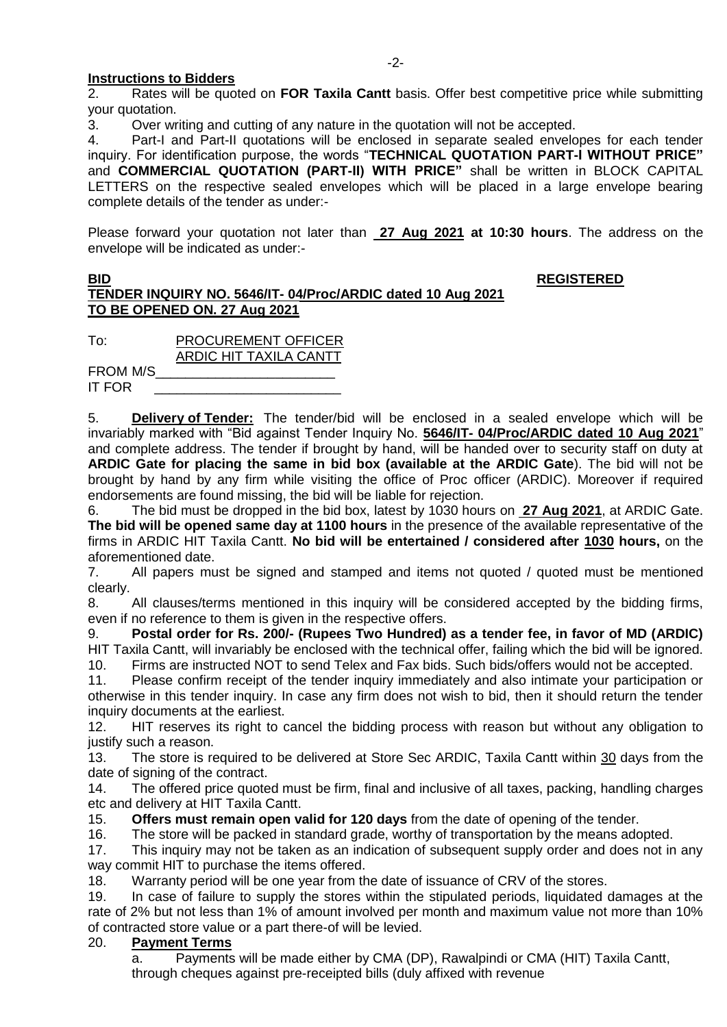## **Instructions to Bidders**

2. Rates will be quoted on **FOR Taxila Cantt** basis. Offer best competitive price while submitting your quotation.

3. Over writing and cutting of any nature in the quotation will not be accepted.

4. Part-I and Part-II quotations will be enclosed in separate sealed envelopes for each tender inquiry. For identification purpose, the words "**TECHNICAL QUOTATION PART-I WITHOUT PRICE"** and **COMMERCIAL QUOTATION (PART-II) WITH PRICE"** shall be written in BLOCK CAPITAL LETTERS on the respective sealed envelopes which will be placed in a large envelope bearing complete details of the tender as under:-

Please forward your quotation not later than **27 Aug 2021 at 10:30 hours**. The address on the envelope will be indicated as under:-

### **BID REGISTERED TENDER INQUIRY NO. 5646/IT- 04/Proc/ARDIC dated 10 Aug 2021 TO BE OPENED ON. 27 Aug 2021**

To: PROCUREMENT OFFICER ARDIC HIT TAXILA CANTT

FROM M/S\_\_\_\_\_\_\_\_\_\_\_\_\_\_\_\_\_\_\_\_\_\_\_\_ IT FOR

5. **Delivery of Tender:** The tender/bid will be enclosed in a sealed envelope which will be invariably marked with "Bid against Tender Inquiry No. **5646/IT- 04/Proc/ARDIC dated 10 Aug 2021**" and complete address. The tender if brought by hand, will be handed over to security staff on duty at **ARDIC Gate for placing the same in bid box (available at the ARDIC Gate**). The bid will not be brought by hand by any firm while visiting the office of Proc officer (ARDIC). Moreover if required endorsements are found missing, the bid will be liable for rejection.

6. The bid must be dropped in the bid box, latest by 1030 hours on **27 Aug 2021**, at ARDIC Gate. **The bid will be opened same day at 1100 hours** in the presence of the available representative of the firms in ARDIC HIT Taxila Cantt. **No bid will be entertained / considered after 1030 hours,** on the aforementioned date.

7. All papers must be signed and stamped and items not quoted / quoted must be mentioned clearly.

8. All clauses/terms mentioned in this inquiry will be considered accepted by the bidding firms, even if no reference to them is given in the respective offers.

9. **Postal order for Rs. 200/- (Rupees Two Hundred) as a tender fee, in favor of MD (ARDIC)** HIT Taxila Cantt, will invariably be enclosed with the technical offer, failing which the bid will be ignored.

10. Firms are instructed NOT to send Telex and Fax bids. Such bids/offers would not be accepted.

11. Please confirm receipt of the tender inquiry immediately and also intimate your participation or otherwise in this tender inquiry. In case any firm does not wish to bid, then it should return the tender inquiry documents at the earliest.

12. HIT reserves its right to cancel the bidding process with reason but without any obligation to justify such a reason.

13. The store is required to be delivered at Store Sec ARDIC, Taxila Cantt within 30 days from the date of signing of the contract.

14. The offered price quoted must be firm, final and inclusive of all taxes, packing, handling charges etc and delivery at HIT Taxila Cantt.

15. **Offers must remain open valid for 120 days** from the date of opening of the tender.

16. The store will be packed in standard grade, worthy of transportation by the means adopted.

17. This inquiry may not be taken as an indication of subsequent supply order and does not in any way commit HIT to purchase the items offered.

18. Warranty period will be one year from the date of issuance of CRV of the stores.

19. In case of failure to supply the stores within the stipulated periods, liquidated damages at the rate of 2% but not less than 1% of amount involved per month and maximum value not more than 10% of contracted store value or a part there-of will be levied.

# 20. **Payment Terms**

a. Payments will be made either by CMA (DP), Rawalpindi or CMA (HIT) Taxila Cantt, through cheques against pre-receipted bills (duly affixed with revenue